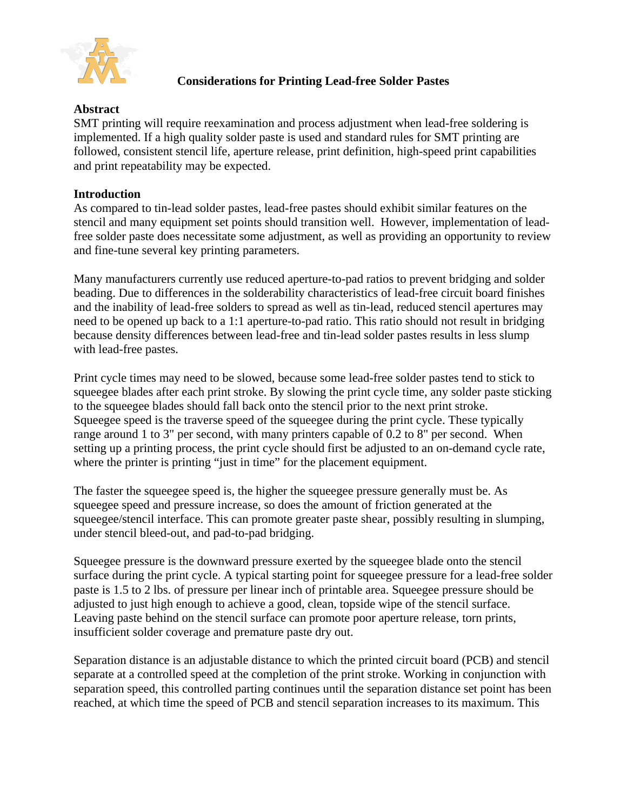

## **Considerations for Printing Lead-free Solder Pastes**

## **Abstract**

SMT printing will require reexamination and process adjustment when lead-free soldering is implemented. If a high quality solder paste is used and standard rules for SMT printing are followed, consistent stencil life, aperture release, print definition, high-speed print capabilities and print repeatability may be expected.

## **Introduction**

As compared to tin-lead solder pastes, lead-free pastes should exhibit similar features on the stencil and many equipment set points should transition well. However, implementation of leadfree solder paste does necessitate some adjustment, as well as providing an opportunity to review and fine-tune several key printing parameters.

Many manufacturers currently use reduced aperture-to-pad ratios to prevent bridging and solder beading. Due to differences in the solderability characteristics of lead-free circuit board finishes and the inability of lead-free solders to spread as well as tin-lead, reduced stencil apertures may need to be opened up back to a 1:1 aperture-to-pad ratio. This ratio should not result in bridging because density differences between lead-free and tin-lead solder pastes results in less slump with lead-free pastes.

Print cycle times may need to be slowed, because some lead-free solder pastes tend to stick to squeegee blades after each print stroke. By slowing the print cycle time, any solder paste sticking to the squeegee blades should fall back onto the stencil prior to the next print stroke. Squeegee speed is the traverse speed of the squeegee during the print cycle. These typically range around 1 to 3" per second, with many printers capable of 0.2 to 8" per second. When setting up a printing process, the print cycle should first be adjusted to an on-demand cycle rate, where the printer is printing "just in time" for the placement equipment.

The faster the squeegee speed is, the higher the squeegee pressure generally must be. As squeegee speed and pressure increase, so does the amount of friction generated at the squeegee/stencil interface. This can promote greater paste shear, possibly resulting in slumping, under stencil bleed-out, and pad-to-pad bridging.

Squeegee pressure is the downward pressure exerted by the squeegee blade onto the stencil surface during the print cycle. A typical starting point for squeegee pressure for a lead-free solder paste is 1.5 to 2 lbs. of pressure per linear inch of printable area. Squeegee pressure should be adjusted to just high enough to achieve a good, clean, topside wipe of the stencil surface. Leaving paste behind on the stencil surface can promote poor aperture release, torn prints, insufficient solder coverage and premature paste dry out.

Separation distance is an adjustable distance to which the printed circuit board (PCB) and stencil separate at a controlled speed at the completion of the print stroke. Working in conjunction with separation speed, this controlled parting continues until the separation distance set point has been reached, at which time the speed of PCB and stencil separation increases to its maximum. This